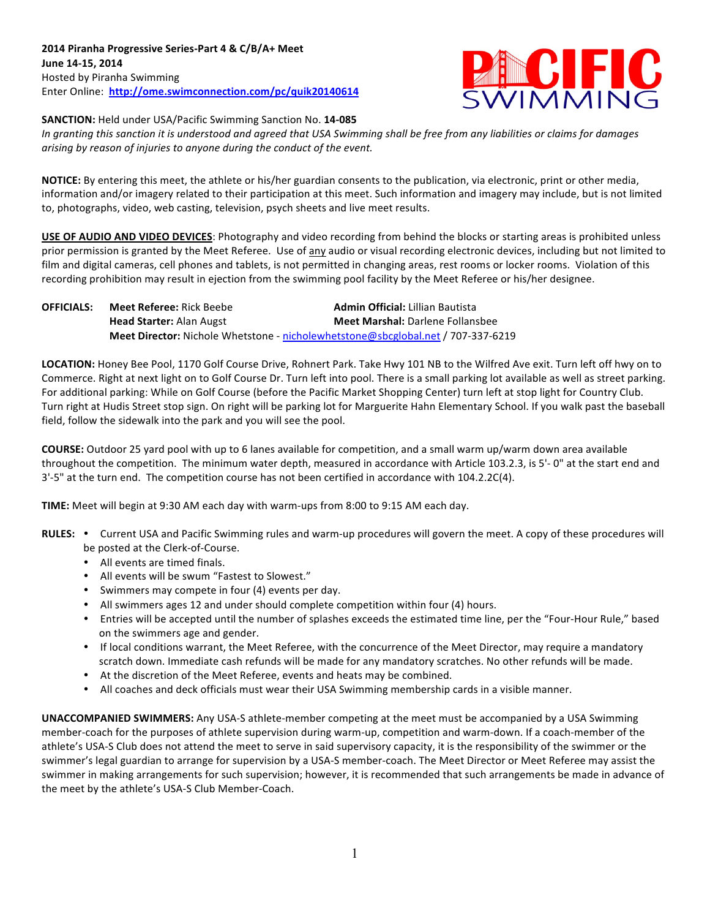

**SANCTION:** Held under USA/Pacific Swimming Sanction No. 14-085

In granting this sanction it is understood and agreed that USA Swimming shall be free from any liabilities or claims for damages arising by reason of injuries to anyone during the conduct of the event.

**NOTICE:** By entering this meet, the athlete or his/her guardian consents to the publication, via electronic, print or other media, information and/or imagery related to their participation at this meet. Such information and imagery may include, but is not limited to, photographs, video, web casting, television, psych sheets and live meet results.

**USE OF AUDIO AND VIDEO DEVICES**: Photography and video recording from behind the blocks or starting areas is prohibited unless prior permission is granted by the Meet Referee. Use of any audio or visual recording electronic devices, including but not limited to film and digital cameras, cell phones and tablets, is not permitted in changing areas, rest rooms or locker rooms. Violation of this recording prohibition may result in ejection from the swimming pool facility by the Meet Referee or his/her designee.

| <b>OFFICIALS:</b> | <b>Meet Referee: Rick Beebe</b> | <b>Admin Official: Lillian Bautista</b>                                          |
|-------------------|---------------------------------|----------------------------------------------------------------------------------|
|                   | <b>Head Starter: Alan Augst</b> | <b>Meet Marshal: Darlene Follansbee</b>                                          |
|                   |                                 | Meet Director: Nichole Whetstone - nicholewhetstone@sbcglobal.net / 707-337-6219 |

LOCATION: Honey Bee Pool, 1170 Golf Course Drive, Rohnert Park. Take Hwy 101 NB to the Wilfred Ave exit. Turn left off hwy on to Commerce. Right at next light on to Golf Course Dr. Turn left into pool. There is a small parking lot available as well as street parking. For additional parking: While on Golf Course (before the Pacific Market Shopping Center) turn left at stop light for Country Club. Turn right at Hudis Street stop sign. On right will be parking lot for Marguerite Hahn Elementary School. If you walk past the baseball field, follow the sidewalk into the park and you will see the pool.

**COURSE:** Outdoor 25 yard pool with up to 6 lanes available for competition, and a small warm up/warm down area available throughout the competition. The minimum water depth, measured in accordance with Article 103.2.3, is 5'-0" at the start end and 3'-5" at the turn end. The competition course has not been certified in accordance with 104.2.2C(4).

**TIME:** Meet will begin at 9:30 AM each day with warm-ups from 8:00 to 9:15 AM each day.

- RULES: . Current USA and Pacific Swimming rules and warm-up procedures will govern the meet. A copy of these procedures will be posted at the Clerk-of-Course.
	- All events are timed finals.
	- All events will be swum "Fastest to Slowest."
	- Swimmers may compete in four (4) events per day.
	- All swimmers ages 12 and under should complete competition within four (4) hours.
	- Entries will be accepted until the number of splashes exceeds the estimated time line, per the "Four-Hour Rule," based on the swimmers age and gender.
	- If local conditions warrant, the Meet Referee, with the concurrence of the Meet Director, may require a mandatory scratch down. Immediate cash refunds will be made for any mandatory scratches. No other refunds will be made.
	- At the discretion of the Meet Referee, events and heats may be combined.
	- All coaches and deck officials must wear their USA Swimming membership cards in a visible manner.

**UNACCOMPANIED SWIMMERS:** Any USA-S athlete-member competing at the meet must be accompanied by a USA Swimming member-coach for the purposes of athlete supervision during warm-up, competition and warm-down. If a coach-member of the athlete's USA-S Club does not attend the meet to serve in said supervisory capacity, it is the responsibility of the swimmer or the swimmer's legal guardian to arrange for supervision by a USA-S member-coach. The Meet Director or Meet Referee may assist the swimmer in making arrangements for such supervision; however, it is recommended that such arrangements be made in advance of the meet by the athlete's USA-S Club Member-Coach.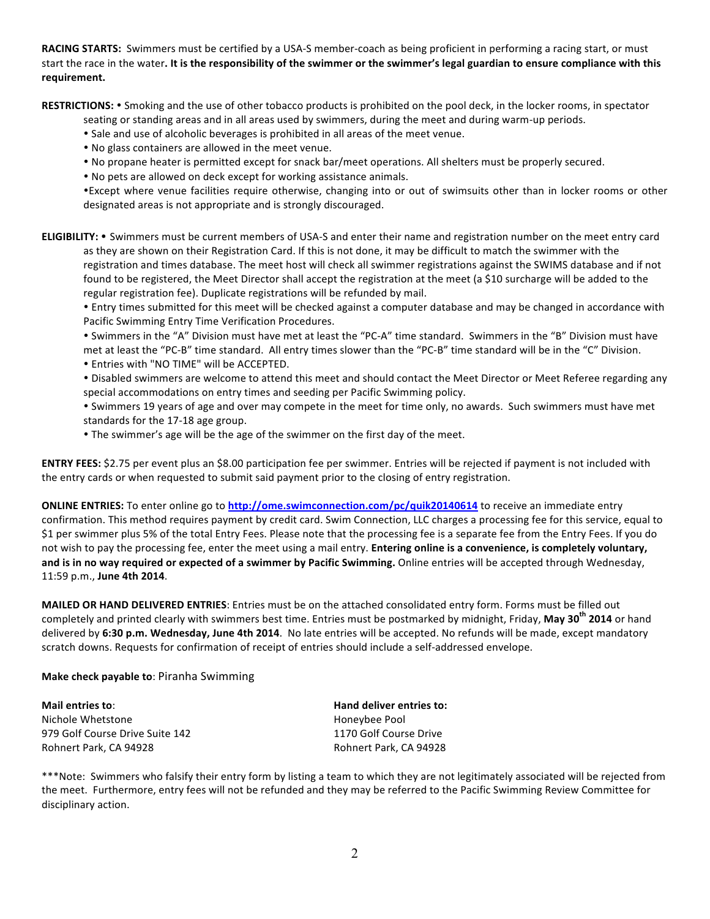**RACING STARTS:** Swimmers must be certified by a USA-S member-coach as being proficient in performing a racing start, or must start the race in the water. It is the responsibility of the swimmer or the swimmer's legal guardian to ensure compliance with this **requirement.**

RESTRICTIONS: • Smoking and the use of other tobacco products is prohibited on the pool deck, in the locker rooms, in spectator

seating or standing areas and in all areas used by swimmers, during the meet and during warm-up periods.

- Sale and use of alcoholic beverages is prohibited in all areas of the meet venue.
- No glass containers are allowed in the meet venue.
- No propane heater is permitted except for snack bar/meet operations. All shelters must be properly secured.
- No pets are allowed on deck except for working assistance animals.

• Except where venue facilities require otherwise, changing into or out of swimsuits other than in locker rooms or other designated areas is not appropriate and is strongly discouraged.

**ELIGIBILITY:** • Swimmers must be current members of USA-S and enter their name and registration number on the meet entry card as they are shown on their Registration Card. If this is not done, it may be difficult to match the swimmer with the registration and times database. The meet host will check all swimmer registrations against the SWIMS database and if not found to be registered, the Meet Director shall accept the registration at the meet (a \$10 surcharge will be added to the regular registration fee). Duplicate registrations will be refunded by mail.

• Entry times submitted for this meet will be checked against a computer database and may be changed in accordance with Pacific Swimming Entry Time Verification Procedures.

• Swimmers in the "A" Division must have met at least the "PC-A" time standard. Swimmers in the "B" Division must have met at least the "PC-B" time standard. All entry times slower than the "PC-B" time standard will be in the "C" Division. • Entries with "NO TIME" will be ACCEPTED.

• Disabled swimmers are welcome to attend this meet and should contact the Meet Director or Meet Referee regarding any special accommodations on entry times and seeding per Pacific Swimming policy.

• Swimmers 19 years of age and over may compete in the meet for time only, no awards. Such swimmers must have met standards for the 17-18 age group.

• The swimmer's age will be the age of the swimmer on the first day of the meet.

**ENTRY FEES:** \$2.75 per event plus an \$8.00 participation fee per swimmer. Entries will be rejected if payment is not included with the entry cards or when requested to submit said payment prior to the closing of entry registration.

**ONLINE ENTRIES:** To enter online go to http://ome.swimconnection.com/pc/quik20140614 to receive an immediate entry confirmation. This method requires payment by credit card. Swim Connection, LLC charges a processing fee for this service, equal to \$1 per swimmer plus 5% of the total Entry Fees. Please note that the processing fee is a separate fee from the Entry Fees. If you do not wish to pay the processing fee, enter the meet using a mail entry. Entering online is a convenience, is completely voluntary, and is in no way required or expected of a swimmer by Pacific Swimming. Online entries will be accepted through Wednesday, 11:59 p.m., **June 4th 2014**. 

**MAILED OR HAND DELIVERED ENTRIES**: Entries must be on the attached consolidated entry form. Forms must be filled out completely and printed clearly with swimmers best time. Entries must be postmarked by midnight, Friday, May 30<sup>th</sup> 2014 or hand delivered by 6:30 p.m. Wednesday, June 4th 2014. No late entries will be accepted. No refunds will be made, except mandatory scratch downs. Requests for confirmation of receipt of entries should include a self-addressed envelope.

## **Make check payable to: Piranha Swimming**

**Mail entries to: Hand deliver entries to: Hand deliver entries to: Hand deliver entries** to: Nichole Whetstone **Honeybee** Pool 979 Golf Course Drive Suite 142 1170 Golf Course Drive Rohnert Park, CA 94928 **Rohnert Park, CA 94928** Rohnert Park, CA 94928

\*\*\*Note: Swimmers who falsify their entry form by listing a team to which they are not legitimately associated will be rejected from the meet. Furthermore, entry fees will not be refunded and they may be referred to the Pacific Swimming Review Committee for disciplinary action.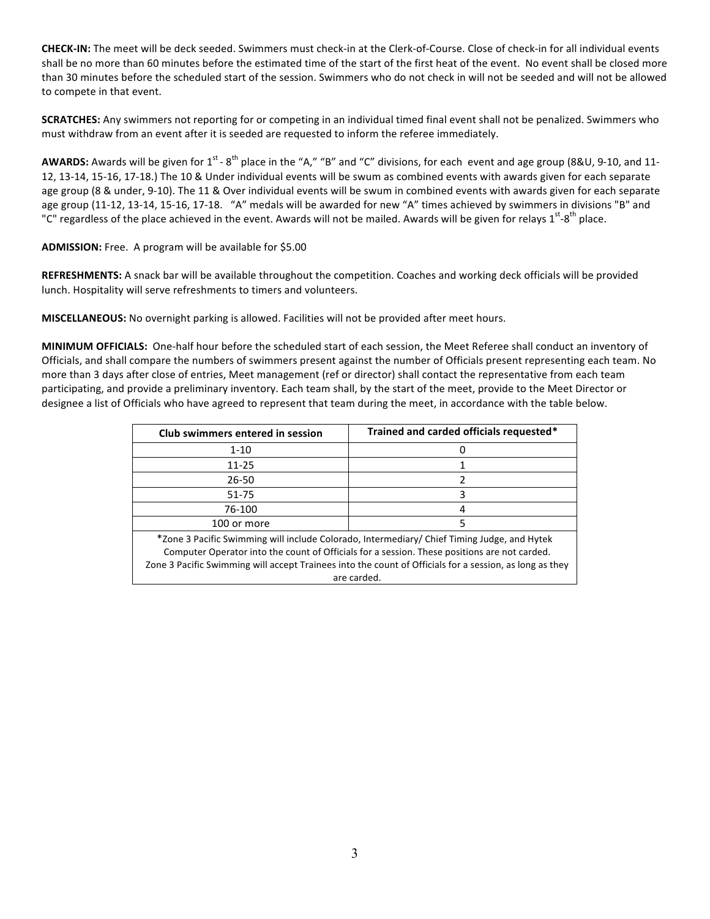**CHECK-IN:** The meet will be deck seeded. Swimmers must check-in at the Clerk-of-Course. Close of check-in for all individual events shall be no more than 60 minutes before the estimated time of the start of the first heat of the event. No event shall be closed more than 30 minutes before the scheduled start of the session. Swimmers who do not check in will not be seeded and will not be allowed to compete in that event.

**SCRATCHES:** Any swimmers not reporting for or competing in an individual timed final event shall not be penalized. Swimmers who must withdraw from an event after it is seeded are requested to inform the referee immediately.

**AWARDS:** Awards will be given for 1<sup>st</sup> - 8<sup>th</sup> place in the "A," "B" and "C" divisions, for each event and age group (8&U, 9-10, and 11-12, 13-14, 15-16, 17-18.) The 10 & Under individual events will be swum as combined events with awards given for each separate age group (8 & under, 9-10). The 11 & Over individual events will be swum in combined events with awards given for each separate age group (11-12, 13-14, 15-16, 17-18. "A" medals will be awarded for new "A" times achieved by swimmers in divisions "B" and "C" regardless of the place achieved in the event. Awards will not be mailed. Awards will be given for relays 1<sup>st</sup>-8<sup>th</sup> place.

**ADMISSION:** Free. A program will be available for \$5.00

**REFRESHMENTS:** A snack bar will be available throughout the competition. Coaches and working deck officials will be provided lunch. Hospitality will serve refreshments to timers and volunteers.

MISCELLANEOUS: No overnight parking is allowed. Facilities will not be provided after meet hours.

**MINIMUM OFFICIALS:** One-half hour before the scheduled start of each session, the Meet Referee shall conduct an inventory of Officials, and shall compare the numbers of swimmers present against the number of Officials present representing each team. No more than 3 days after close of entries, Meet management (ref or director) shall contact the representative from each team participating, and provide a preliminary inventory. Each team shall, by the start of the meet, provide to the Meet Director or designee a list of Officials who have agreed to represent that team during the meet, in accordance with the table below.

| Club swimmers entered in session                                                                        | Trained and carded officials requested* |  |  |  |  |  |
|---------------------------------------------------------------------------------------------------------|-----------------------------------------|--|--|--|--|--|
| $1 - 10$                                                                                                |                                         |  |  |  |  |  |
| 11-25                                                                                                   |                                         |  |  |  |  |  |
| 26-50                                                                                                   |                                         |  |  |  |  |  |
| 51-75                                                                                                   |                                         |  |  |  |  |  |
| 76-100                                                                                                  | 4                                       |  |  |  |  |  |
| 100 or more                                                                                             |                                         |  |  |  |  |  |
| *Zone 3 Pacific Swimming will include Colorado, Intermediary/ Chief Timing Judge, and Hytek             |                                         |  |  |  |  |  |
| Computer Operator into the count of Officials for a session. These positions are not carded.            |                                         |  |  |  |  |  |
| Zone 3 Pacific Swimming will accept Trainees into the count of Officials for a session, as long as they |                                         |  |  |  |  |  |

are carded.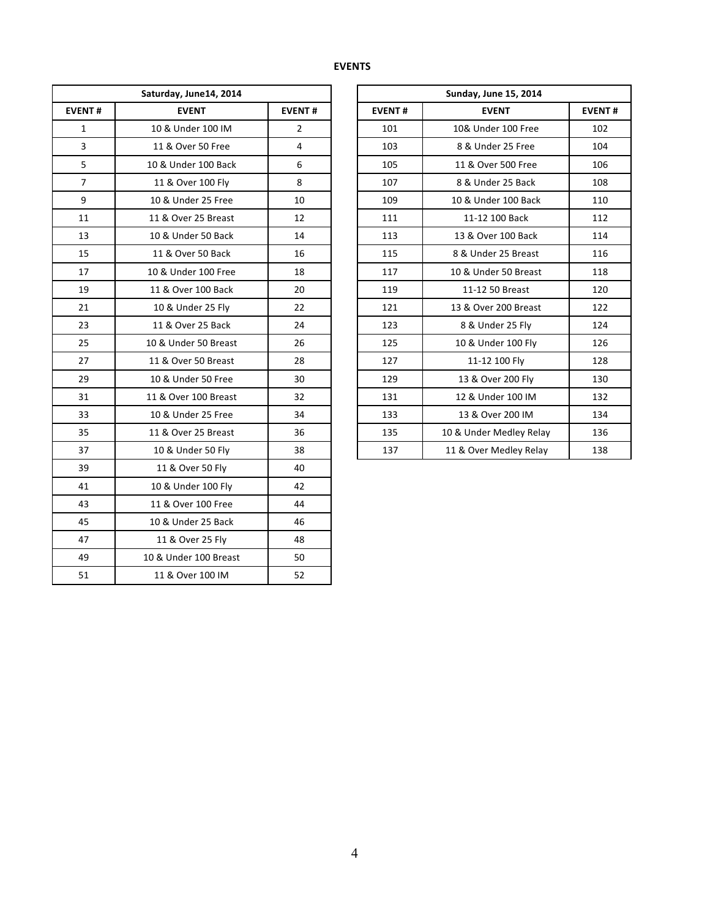| Saturday, June14, 2014 |                       |                | <b>Sunday, June 15, 2014</b> |                         |               |  |  |  |
|------------------------|-----------------------|----------------|------------------------------|-------------------------|---------------|--|--|--|
| <b>EVENT#</b>          | <b>EVENT</b>          | <b>EVENT#</b>  | <b>EVENT#</b>                | <b>EVENT</b>            | <b>EVENT#</b> |  |  |  |
| $\mathbf{1}$           | 10 & Under 100 IM     | $\overline{2}$ | 101                          | 10& Under 100 Free      | 102           |  |  |  |
| $\mathbf{3}$           | 11 & Over 50 Free     | $\overline{4}$ | 103                          | 8 & Under 25 Free       | 104           |  |  |  |
| 5                      | 10 & Under 100 Back   | 6              | 105                          | 11 & Over 500 Free      | 106           |  |  |  |
| $\overline{7}$         | 11 & Over 100 Fly     | 8              | 107                          | 8 & Under 25 Back       | 108           |  |  |  |
| 9                      | 10 & Under 25 Free    | 10             | 109                          | 10 & Under 100 Back     | 110           |  |  |  |
| 11                     | 11 & Over 25 Breast   | 12             | 111                          | 11-12 100 Back          | 112           |  |  |  |
| 13                     | 10 & Under 50 Back    | 14             | 113                          | 13 & Over 100 Back      | 114           |  |  |  |
| 15                     | 11 & Over 50 Back     | 16             | 115                          | 8 & Under 25 Breast     | 116           |  |  |  |
| 17                     | 10 & Under 100 Free   | 18             | 117                          | 10 & Under 50 Breast    | 118           |  |  |  |
| 19                     | 11 & Over 100 Back    | 20             | 119                          | 11-12 50 Breast         | 120           |  |  |  |
| 21                     | 10 & Under 25 Fly     | 22             | 121                          | 13 & Over 200 Breast    | 122           |  |  |  |
| 23                     | 11 & Over 25 Back     | 24             | 123                          | 8 & Under 25 Fly        | 124           |  |  |  |
| 25                     | 10 & Under 50 Breast  | 26             | 125                          | 10 & Under 100 Fly      | 126           |  |  |  |
| 27                     | 11 & Over 50 Breast   | 28             | 127                          | 11-12 100 Fly           | 128           |  |  |  |
| 29                     | 10 & Under 50 Free    | 30             | 129                          | 13 & Over 200 Fly       | 130           |  |  |  |
| 31                     | 11 & Over 100 Breast  | 32             | 131                          | 12 & Under 100 IM       | 132           |  |  |  |
| 33                     | 10 & Under 25 Free    | 34             | 133                          | 13 & Over 200 IM        | 134           |  |  |  |
| 35                     | 11 & Over 25 Breast   | 36             | 135                          | 10 & Under Medley Relay | 136           |  |  |  |
| 37                     | 10 & Under 50 Fly     | 38             | 137                          | 11 & Over Medley Relay  | 138           |  |  |  |
| 39                     | 11 & Over 50 Fly      | 40             |                              |                         |               |  |  |  |
| 41                     | 10 & Under 100 Fly    | 42             |                              |                         |               |  |  |  |
| 43                     | 11 & Over 100 Free    | 44             |                              |                         |               |  |  |  |
| 45                     | 10 & Under 25 Back    | 46             |                              |                         |               |  |  |  |
| 47                     | 11 & Over 25 Fly      | 48             |                              |                         |               |  |  |  |
| 49                     | 10 & Under 100 Breast | 50             |                              |                         |               |  |  |  |
| 51                     | 11 & Over 100 IM      | 52             |                              |                         |               |  |  |  |

| <b>Sunday, June 15, 2014</b> |                         |               |  |  |  |  |  |  |
|------------------------------|-------------------------|---------------|--|--|--|--|--|--|
| <b>EVENT#</b>                | <b>EVENT</b>            | <b>EVENT#</b> |  |  |  |  |  |  |
| 101                          | 10& Under 100 Free      | 102           |  |  |  |  |  |  |
| 103                          | 8 & Under 25 Free       | 104           |  |  |  |  |  |  |
| 105                          | 11 & Over 500 Free      | 106           |  |  |  |  |  |  |
| 107                          | 8 & Under 25 Back       | 108           |  |  |  |  |  |  |
| 109                          | 10 & Under 100 Back     | 110           |  |  |  |  |  |  |
| 111                          | 11-12 100 Back          | 112           |  |  |  |  |  |  |
| 113                          | 13 & Over 100 Back      | 114           |  |  |  |  |  |  |
| 115                          | 8 & Under 25 Breast     | 116           |  |  |  |  |  |  |
| 117                          | 10 & Under 50 Breast    | 118           |  |  |  |  |  |  |
| 119                          | 11-12 50 Breast         | 120           |  |  |  |  |  |  |
| 121                          | 13 & Over 200 Breast    | 122           |  |  |  |  |  |  |
| 123                          | 8 & Under 25 Fly        | 124           |  |  |  |  |  |  |
| 125                          | 10 & Under 100 Fly      | 126           |  |  |  |  |  |  |
| 127                          | 11-12 100 Fly           | 128           |  |  |  |  |  |  |
| 129                          | 13 & Over 200 Fly       | 130           |  |  |  |  |  |  |
| 131                          | 12 & Under 100 IM       | 132           |  |  |  |  |  |  |
| 133                          | 13 & Over 200 IM        | 134           |  |  |  |  |  |  |
| 135                          | 10 & Under Medley Relay | 136           |  |  |  |  |  |  |
| 137                          | 11 & Over Medley Relay  | 138           |  |  |  |  |  |  |